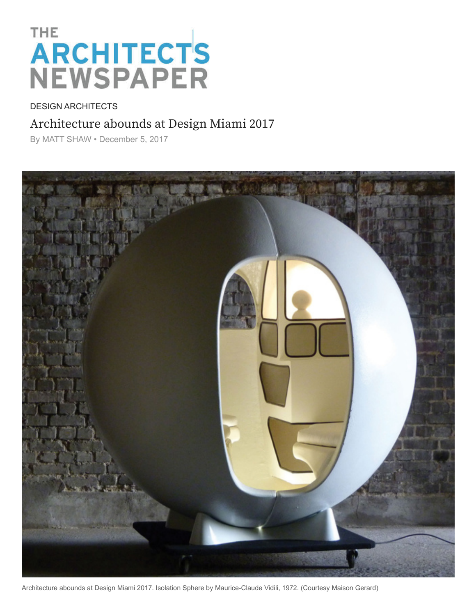## THE **ARCHITECTS**<br>NEWSPAPER

## DESIGN ARCHITECTS

## [Archi](https://archpaper.com/category/subject/design/)[tecture a](https://archpaper.com/category/region/international/)bounds at Design Miami 2017

By [MATT SHAW](https://archpaper.com/author/mshaw/) • December 5, 2017



Architecture abounds at Design Miami 2017. Isolation Sphere by Maurice-Claude Vidili, 1972. (Courtesy Maison Gerard)